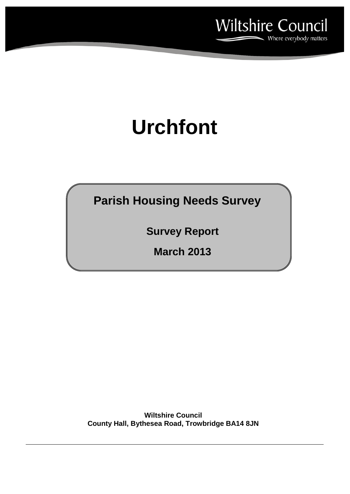

# **Urchfont**

**Parish Housing Needs Survey**

**Survey Report**

**March 2013**

**Wiltshire Council County Hall, Bythesea Road, Trowbridge BA14 8JN**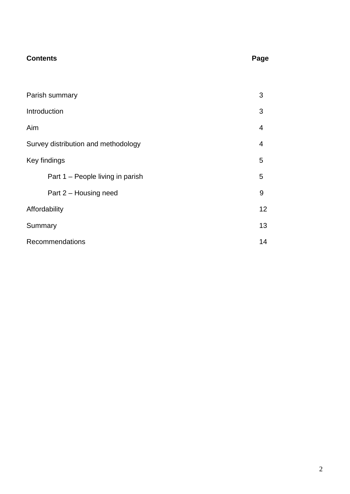# **Contents**

| --<br>۰.<br>$\sim$ |
|--------------------|
|--------------------|

| Parish summary                      | 3 |  |
|-------------------------------------|---|--|
| Introduction                        | 3 |  |
| Aim                                 | 4 |  |
| Survey distribution and methodology | 4 |  |
| Key findings                        | 5 |  |
| Part 1 – People living in parish    | 5 |  |
| Part 2 – Housing need               | 9 |  |
| Affordability                       |   |  |
| Summary                             |   |  |
| <b>Recommendations</b>              |   |  |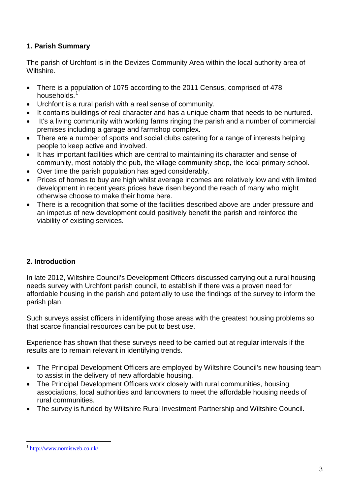# **1. Parish Summary**

The parish of Urchfont is in the Devizes Community Area within the local authority area of Wiltshire.

- There is a population of 1075 according to the 2011 Census, comprised of 478 households.
- Urchfont is a rural parish with a real sense of community.
- It contains buildings of real character and has a unique charm that needs to be nurtured.
- It's a living community with working farms ringing the parish and a number of commercial premises including a garage and farmshop complex.
- There are a number of sports and social clubs catering for a range of interests helping people to keep active and involved.
- It has important facilities which are central to maintaining its character and sense of community, most notably the pub, the village community shop, the local primary school.
- Over time the parish population has aged considerably.
- Prices of homes to buy are high whilst average incomes are relatively low and with limited development in recent years prices have risen beyond the reach of many who might otherwise choose to make their home here.
- There is a recognition that some of the facilities described above are under pressure and an impetus of new development could positively benefit the parish and reinforce the viability of existing services.

# **2. Introduction**

In late 2012, Wiltshire Council's Development Officers discussed carrying out a rural housing needs survey with Urchfont parish council, to establish if there was a proven need for affordable housing in the parish and potentially to use the findings of the survey to inform the parish plan.

Such surveys assist officers in identifying those areas with the greatest housing problems so that scarce financial resources can be put to best use.

Experience has shown that these surveys need to be carried out at regular intervals if the results are to remain relevant in identifying trends.

- The Principal Development Officers are employed by Wiltshire Council's new housing team to assist in the delivery of new affordable housing.
- The Principal Development Officers work closely with rural communities, housing associations, local authorities and landowners to meet the affordable housing needs of rural communities.
- The survey is funded by Wiltshire Rural Investment Partnership and Wiltshire Council.

http://www.nomisweb.co.uk/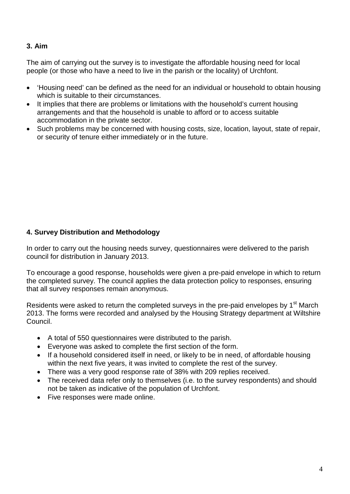# **3. Aim**

The aim of carrying out the survey is to investigate the affordable housing need for local people (or those who have a need to live in the parish or the locality) of Urchfont.

- 'Housing need' can be defined as the need for an individual or household to obtain housing which is suitable to their circumstances.
- It implies that there are problems or limitations with the household's current housing arrangements and that the household is unable to afford or to access suitable accommodation in the private sector.
- Such problems may be concerned with housing costs, size, location, layout, state of repair, or security of tenure either immediately or in the future.

# **4. Survey Distribution and Methodology**

In order to carry out the housing needs survey, questionnaires were delivered to the parish council for distribution in January 2013.

To encourage a good response, households were given a pre-paid envelope in which to return the completed survey. The council applies the data protection policy to responses, ensuring that all survey responses remain anonymous.

Residents were asked to return the completed surveys in the pre-paid envelopes by 1<sup>st</sup> March 2013. The forms were recorded and analysed by the Housing Strategy department at Wiltshire Council.

- A total of 550 questionnaires were distributed to the parish.
- Everyone was asked to complete the first section of the form.
- If a household considered itself in need, or likely to be in need, of affordable housing within the next five years, it was invited to complete the rest of the survey.
- There was a very good response rate of 38% with 209 replies received.
- The received data refer only to themselves (i.e. to the survey respondents) and should not be taken as indicative of the population of Urchfont.
- Five responses were made online.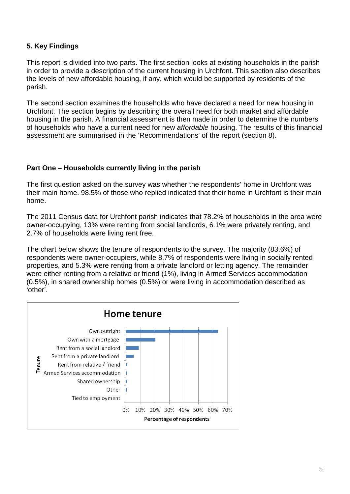# **5. Key Findings**

This report is divided into two parts. The first section looks at existing households in the parish in order to provide a description of the current housing in Urchfont. This section also describes the levels of new affordable housing, if any, which would be supported by residents of the parish.

The second section examines the households who have declared a need for new housing in Urchfont. The section begins by describing the overall need for both market and affordable housing in the parish. A financial assessment is then made in order to determine the numbers of households who have a current need for new *affordable* housing. The results of this financial assessment are summarised in the 'Recommendations' of the report (section 8).

#### **Part One – Households currently living in the parish**

The first question asked on the survey was whether the respondents' home in Urchfont was their main home. 98.5% of those who replied indicated that their home in Urchfont is their main home.

The 2011 Census data for Urchfont parish indicates that 78.2% of households in the area were owner-occupying, 13% were renting from social landlords, 6.1% were privately renting, and 2.7% of households were living rent free.

The chart below shows the tenure of respondents to the survey. The majority (83.6%) of respondents were owner-occupiers, while 8.7% of respondents were living in socially rented properties, and 5.3% were renting from a private landlord or letting agency. The remainder were either renting from a relative or friend (1%), living in Armed Services accommodation (0.5%), in shared ownership homes (0.5%) or were living in accommodation described as 'other'.

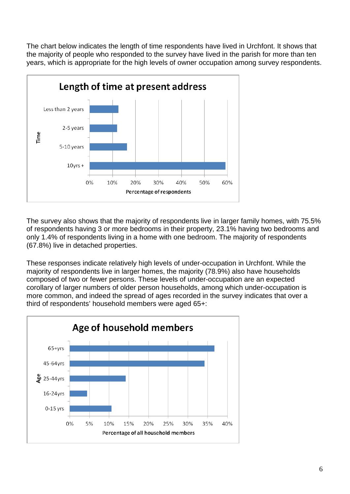The chart below indicates the length of time respondents have lived in Urchfont. It shows that the majority of people who responded to the survey have lived in the parish for more than ten years, which is appropriate for the high levels of owner occupation among survey respondents.



The survey also shows that the majority of respondents live in larger family homes, with 75.5% of respondents having 3 or more bedrooms in their property, 23.1% having two bedrooms and only 1.4% of respondents living in a home with one bedroom. The majority of respondents (67.8%) live in detached properties.

These responses indicate relatively high levels of under-occupation in Urchfont. While the majority of respondents live in larger homes, the majority (78.9%) also have households composed of two or fewer persons. These levels of under-occupation are an expected corollary of larger numbers of older person households, among which under-occupation is more common, and indeed the spread of ages recorded in the survey indicates that over a third of respondents' household members were aged 65+:

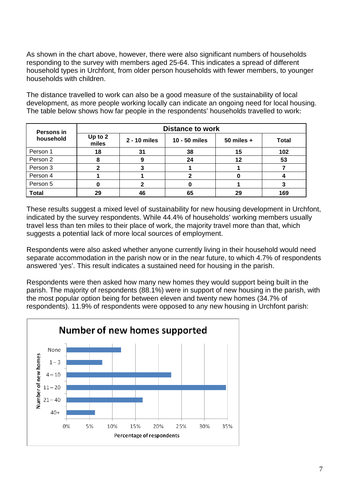As shown in the chart above, however, there were also significant numbers of households responding to the survey with members aged 25-64. This indicates a spread of different household types in Urchfont, from older person households with fewer members, to younger households with children.

The distance travelled to work can also be a good measure of the sustainability of local development, as more people working locally can indicate an ongoing need for local housing. The table below shows how far people in the respondents' households travelled to work:

| Persons in<br>household | <b>Distance to work</b> |              |               |              |              |
|-------------------------|-------------------------|--------------|---------------|--------------|--------------|
|                         | Up to 2<br>miles        | 2 - 10 miles | 10 - 50 miles | 50 miles $+$ | <b>Total</b> |
| Person 1                | 18                      | 31           | 38            | 15           | 102          |
| Person 2                |                         |              | 24            | 12           | 53           |
| Person 3                |                         |              |               |              |              |
| Person 4                |                         |              |               |              |              |
| Person 5                |                         |              |               |              |              |
| <b>Total</b>            | 29                      | 46           | 65            | 29           | 169          |

These results suggest a mixed level of sustainability for new housing development in Urchfont, indicated by the survey respondents. While 44.4% of households' working members usually travel less than ten miles to their place of work, the majority travel more than that, which suggests a potential lack of more local sources of employment.

Respondents were also asked whether anyone currently living in their household would need separate accommodation in the parish now or in the near future, to which 4.7% of respondents answered 'yes'. This result indicates a sustained need for housing in the parish.

Respondents were then asked how many new homes they would support being built in the parish. The majority of respondents (88.1%) were in support of new housing in the parish, with the most popular option being for between eleven and twenty new homes (34.7% of respondents). 11.9% of respondents were opposed to any new housing in Urchfont parish:

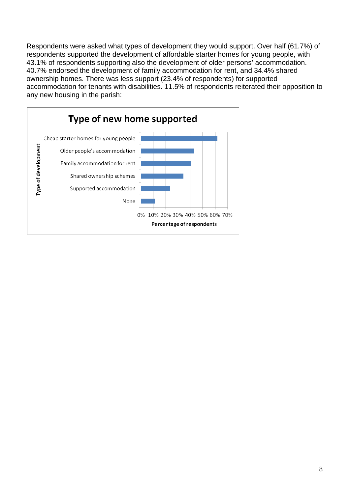Respondents were asked what types of development they would support. Over half (61.7%) of respondents supported the development of affordable starter homes for young people, with 43.1% of respondents supporting also the development of older persons' accommodation. 40.7% endorsed the development of family accommodation for rent, and 34.4% shared ownership homes. There was less support (23.4% of respondents) for supported accommodation for tenants with disabilities. 11.5% of respondents reiterated their opposition to any new housing in the parish:

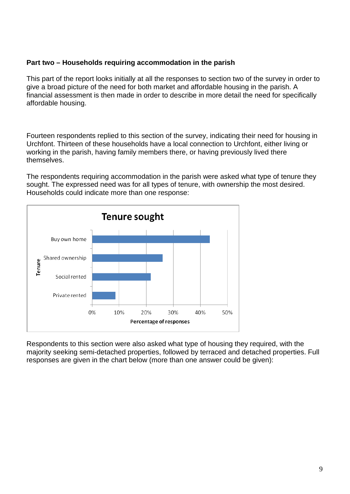#### **Part two – Households requiring accommodation in the parish**

This part of the report looks initially at all the responses to section two of the survey in order to give a broad picture of the need for both market and affordable housing in the parish. A financial assessment is then made in order to describe in more detail the need for specifically affordable housing.

Fourteen respondents replied to this section of the survey, indicating their need for housing in Urchfont. Thirteen of these households have a local connection to Urchfont, either living or working in the parish, having family members there, or having previously lived there themselves.

The respondents requiring accommodation in the parish were asked what type of tenure they sought. The expressed need was for all types of tenure, with ownership the most desired. Households could indicate more than one response:



Respondents to this section were also asked what type of housing they required, with the majority seeking semi-detached properties, followed by terraced and detached properties. Full responses are given in the chart below (more than one answer could be given):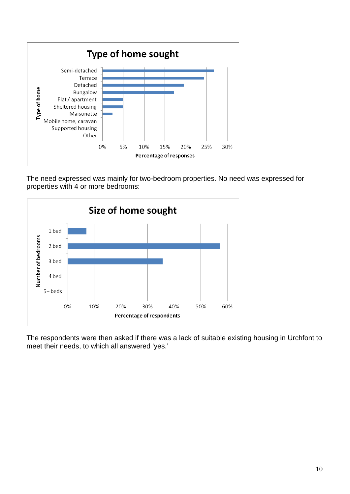

The need expressed was mainly for two-bedroom properties. No need was expressed for properties with 4 or more bedrooms:



The respondents were then asked if there was a lack of suitable existing housing in Urchfont to meet their needs, to which all answered 'yes.'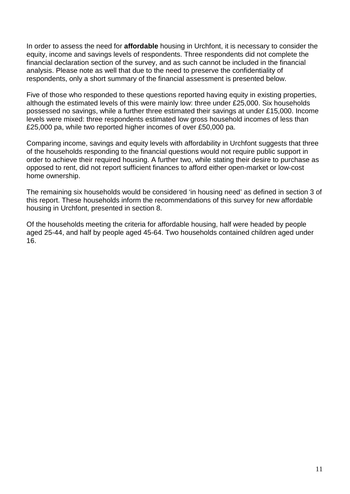In order to assess the need for **affordable** housing in Urchfont, it is necessary to consider the equity, income and savings levels of respondents. Three respondents did not complete the financial declaration section of the survey, and as such cannot be included in the financial analysis. Please note as well that due to the need to preserve the confidentiality of respondents, only a short summary of the financial assessment is presented below.

Five of those who responded to these questions reported having equity in existing properties, although the estimated levels of this were mainly low: three under £25,000. Six households possessed no savings, while a further three estimated their savings at under £15,000. Income levels were mixed: three respondents estimated low gross household incomes of less than £25,000 pa, while two reported higher incomes of over £50,000 pa.

Comparing income, savings and equity levels with affordability in Urchfont suggests that three of the households responding to the financial questions would not require public support in order to achieve their required housing. A further two, while stating their desire to purchase as opposed to rent, did not report sufficient finances to afford either open-market or low-cost home ownership.

The remaining six households would be considered 'in housing need' as defined in section 3 of this report. These households inform the recommendations of this survey for new affordable housing in Urchfont, presented in section 8.

Of the households meeting the criteria for affordable housing, half were headed by people aged 25-44, and half by people aged 45-64. Two households contained children aged under 16.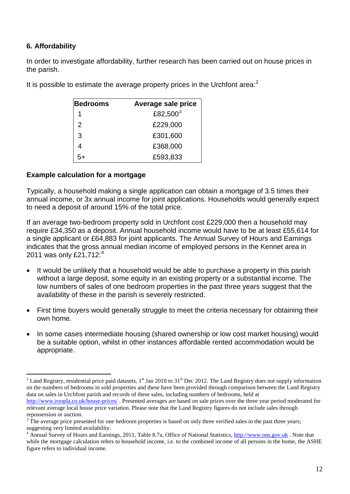# **6. Affordability**

In order to investigate affordability, further research has been carried out on house prices in the parish.

| Bedrooms | Average sale price |
|----------|--------------------|
| 1        | £82,500 $3$        |
| 2        | £229,000           |
| 3        | £301,600           |
| 4        | £368,000           |
| 5+       | £593,833           |

It is possible to estimate the average property prices in the Urchfont area:<sup>2</sup>

## **Example calculation for a mortgage**

Typically, a household making a single application can obtain a mortgage of 3.5 times their annual income, or 3x annual income for joint applications. Households would generally expect to need a deposit of around 15% of the total price.

If an average two-bedroom property sold in Urchfont cost £229,000 then a household may require £34,350 as a deposit. Annual household income would have to be at least £55,614 for a single applicant or £64,883 for joint applicants. The Annual Survey of Hours and Earnings indicates that the gross annual median income of employed persons in the Kennet area in 2011 was only £21,712:<sup>4</sup>

- It would be unlikely that a household would be able to purchase a property in this parish without a large deposit, some equity in an existing property or a substantial income. The low numbers of sales of one bedroom properties in the past three years suggest that the availability of these in the parish is severely restricted.
- First time buyers would generally struggle to meet the criteria necessary for obtaining their own home.
- In some cases intermediate housing (shared ownership or low cost market housing) would be a suitable option, whilst in other instances affordable rented accommodation would be appropriate.

<sup>&</sup>lt;sup>2</sup> Land Registry, residential price paid datasets, 1<sup>st</sup> Jan 2010 to 31<sup>st</sup> Dec 2012. The Land Registry does not supply information on the numbers of bedrooms in sold properties and these have been provided through comparison between the Land Registry data on sales in Urchfont parish and records of these sales, including numbers of bedrooms, held at

http://www.zoopla.co.uk/house-prices/ . Presented averages are based on sale prices over the three year period moderated for relevant average local house price variation. Please note that the Land Registry figures do not include sales through repossession or auction.

 $3\text{ }\hat{\text{}}$  The average price presented for one bedroom properties is based on only three verified sales in the past three years; suggesting very limited availability.

Annual Survey of Hours and Earnings, 2011, Table 8.7a, Office of National Statistics, http://www.ons.gov.uk. Note that while the mortgage calculation refers to household income, i.e. to the combined income of all persons in the home, the ASHE figure refers to individual income.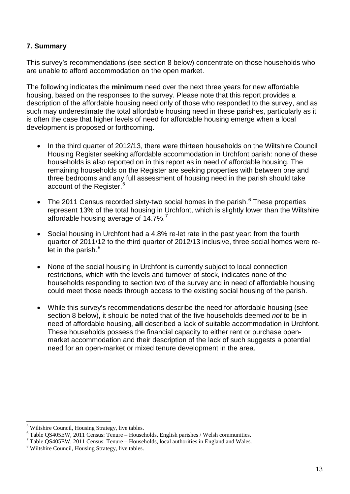## **7. Summary**

This survey's recommendations (see section 8 below) concentrate on those households who are unable to afford accommodation on the open market.

The following indicates the **minimum** need over the next three years for new affordable housing, based on the responses to the survey. Please note that this report provides a description of the affordable housing need only of those who responded to the survey, and as such may underestimate the total affordable housing need in these parishes, particularly as it is often the case that higher levels of need for affordable housing emerge when a local development is proposed or forthcoming.

- In the third quarter of 2012/13, there were thirteen households on the Wiltshire Council Housing Register seeking affordable accommodation in Urchfont parish: none of these households is also reported on in this report as in need of affordable housing. The remaining households on the Register are seeking properties with between one and three bedrooms and any full assessment of housing need in the parish should take account of the Register.<sup>5</sup>
- The 2011 Census recorded sixty-two social homes in the parish. $<sup>6</sup>$  These properties</sup> represent 13% of the total housing in Urchfont, which is slightly lower than the Wiltshire affordable housing average of 14.7%.
- Social housing in Urchfont had a 4.8% re-let rate in the past year: from the fourth quarter of 2011/12 to the third quarter of 2012/13 inclusive, three social homes were relet in the parish.<sup>8</sup>
- None of the social housing in Urchfont is currently subject to local connection restrictions, which with the levels and turnover of stock, indicates none of the households responding to section two of the survey and in need of affordable housing could meet those needs through access to the existing social housing of the parish.
- While this survey's recommendations describe the need for affordable housing (see section 8 below), it should be noted that of the five households deemed *not* to be in need of affordable housing, **all** described a lack of suitable accommodation in Urchfont. These households possess the financial capacity to either rent or purchase openmarket accommodation and their description of the lack of such suggests a potential need for an open-market or mixed tenure development in the area.

<sup>&</sup>lt;sup>5</sup> Wiltshire Council, Housing Strategy, live tables.<br><sup>6</sup> Table OS405EW, 2011 Census: Tenure – Households, English parishes / Welsh communities.

 $\sqrt{7}$  Table QS405EW, 2011 Census: Tenure – Households, local authorities in England and Wales.<br><sup>8</sup> Wiltshire Council, Housing Strategy, live tables.